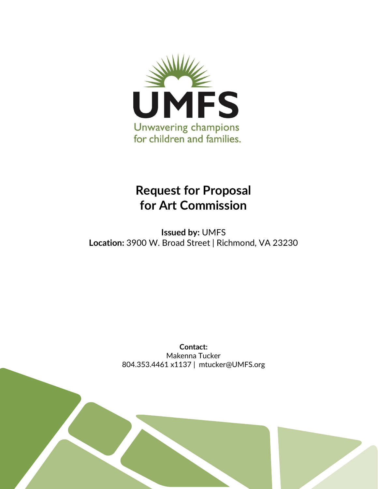

# **Request for Proposal for Art Commission**

**Issued by:** UMFS **Location:** 3900 W. Broad Street | Richmond, VA 23230

> **Contact:** Makenna Tucker 804.353.4461 x1137 | mtucker@UMFS.org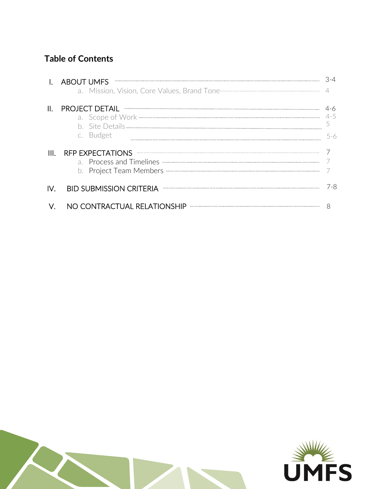# **Table of Contents**

|     | <b>ABOUT UMFS</b>                                                                                                                                                                                                                                                                                                                                                                                                                                                                           |     |
|-----|---------------------------------------------------------------------------------------------------------------------------------------------------------------------------------------------------------------------------------------------------------------------------------------------------------------------------------------------------------------------------------------------------------------------------------------------------------------------------------------------|-----|
| II. | PROJECT DETAIL TELEVISION CONTINUES AND ACCORDING TO THE RESERVE OF THE RESERVE OF THE RESERVE OF THE RESERVE OF THE RESERVE OF THE RESERVE OF THE RESERVE OF THE RESERVE OF THE RESERVE OF THE RESERVE OF THE RESERVE OF THE<br>c. Budget                                                                                                                                                                                                                                                  | 5-6 |
|     | RFP EXPECTATIONS NETRA EXPECTATIONS                                                                                                                                                                                                                                                                                                                                                                                                                                                         |     |
| IV. | $\begin{minipage}{0.5\textwidth} \begin{tabular}{ l c c c c } \hline \multicolumn{1}{ c }{0.9\textwidth} \begin{tabular}{ l c c } \hline \multicolumn{1}{ c }{0.9\textwidth} \begin{tabular}{ l c c } \hline \multicolumn{1}{ c }{0.9\textwidth} \begin{tabular}{ l c c } \hline \multicolumn{1}{ c }{0.9\textwidth} \begin{tabular}{ l c c } \hline \multicolumn{1}{ c }{0.9\textwidth} \begin{tabular}{ l c c } \hline \multicolumn{1}{ c $<br><b>BID SUBMISSION CRITERIA</b>             | 7-8 |
|     | NO CONTRACTUAL RELATIONSHIP<br>$\begin{minipage}{0.9\linewidth} \begin{tabular}{l} \hline \textbf{r} & \textbf{r} & \textbf{r} \\ \hline \textbf{r} & \textbf{r} & \textbf{r} \\ \hline \textbf{r} & \textbf{r} & \textbf{r} \\ \hline \textbf{r} & \textbf{r} & \textbf{r} \\ \hline \textbf{r} & \textbf{r} & \textbf{r} \\ \hline \textbf{r} & \textbf{r} & \textbf{r} \\ \hline \textbf{r} & \textbf{r} & \textbf{r} \\ \hline \textbf{r} & \textbf{r} & \textbf{r} \\ \hline \textbf{$ |     |



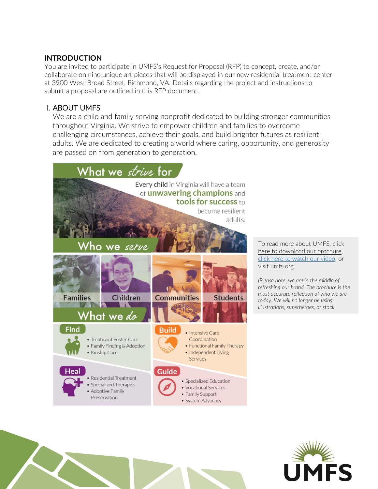# **INTRODUCTION**

You are invited to participate in UMFS's Request for Proposal (RFP) to concept, create, and/or collaborate on nine unique art pieces that will be displayed in our new residential treatment center at 3900 West Broad Street, Richmond, VA. Details regarding the project and instructions to submit a proposal are outlined in this RFP document.

# I. ABOUT UMFS

We are a child and family serving nonprofit dedicated to building stronger communities throughout Virginia. We strive to empower children and families to overcome challenging circumstances, achieve their goals, and build brighter futures as resilient adults. We are dedicated to creating a world where caring, opportunity, and generosity are passed on from generation to generation.



To read more about UMFS[, click](https://drive.google.com/file/d/1B0zP85ZANWCPRineEKUMzeDH-tEURb9-/view?usp=sharing)  [here to download our brochure,](https://drive.google.com/file/d/1B0zP85ZANWCPRineEKUMzeDH-tEURb9-/view?usp=sharing)  [click here to watch our video,](https://www.youtube.com/watch?v=-94GKKtfB6I&t=101s) or visit [umfs.org.](http://umfs.org/) 

*(Please note, we are in the middle of refreshing our brand. The brochure is the most accurate reflection of who we are today. We will no longer be using illustrations, superheroes, or stock* 

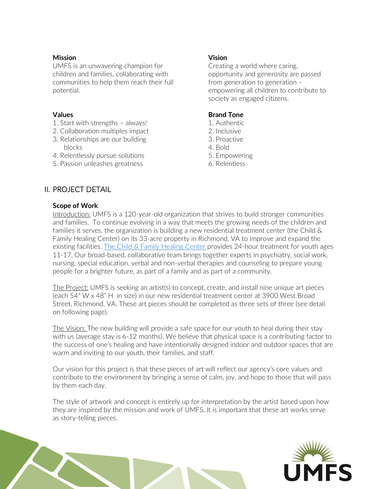#### **Mission**

UMFS is an unwavering champion for children and families, collaborating with communities to help them reach their full potential.

#### **Values**

- 1. Start with strengths always!
- 2. Collaboration multiples impact
- 3. Relationships are our building blocks
- 4. Relentlessly pursue solutions
- 5. Passion unleashes greatness

#### **Vision**

Creating a world where caring, opportunity and generosity are passed from generation to generation – empowering all children to contribute to society as engaged citizens.

#### **Brand Tone**

- 1. Authentic
- 2. Inclusive
- 3. Proactive
- 4. Bold
- 5. Empowering
- 6. Relentless

# II. PROJECT DETAIL

#### **Scope of Work**

Introduction: UMFS is a 120-year-old organization that strives to build stronger communities and families. To continue evolving in a way that meets the growing needs of the children and families it serves, the organization is building a new residential treatment center (the Child & Family Healing Center) on its 33-acre property in Richmond, VA to improve and expand the existing facilities. [The Child & Family Healing Center](https://www.umfs.org/services/residential-treatment/cfhc/) provides 24-hour treatment for youth ages 11-17. Our broad-based, collaborative team brings together experts in psychiatry, social work, nursing, special education, verbal and non-verbal therapies and counseling to prepare young people for a brighter future, as part of a family and as part of a community.

The Project: UMFS is seeking an artist(s) to concept, create, and install nine unique art pieces (each 54" W x 48" H in size) in our new residential treatment center at 3900 West Broad Street, Richmond, VA. These art pieces should be completed as three sets of three (see detail on following page).

The Vision: The new building will provide a safe space for our youth to heal during their stay with us (average stay is 6-12 months). We believe that physical space is a contributing factor to the success of one's healing and have intentionally designed indoor and outdoor spaces that are warm and inviting to our youth, their families, and staff.

Our vision for this project is that these pieces of art will reflect our agency's core values and contribute to the environment by bringing a sense of calm, joy, and hope to those that will pass by them each day.

The style of artwork and concept is entirely up for interpretation by the artist based upon how they are inspired by the mission and work of UMFS. It is important that these art works serve as story-telling pieces.

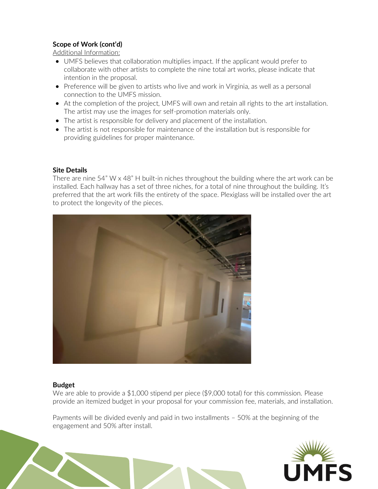#### **Scope of Work (cont'd)**

Additional Information:

- UMFS believes that collaboration multiplies impact. If the applicant would prefer to collaborate with other artists to complete the nine total art works, please indicate that intention in the proposal.
- Preference will be given to artists who live and work in Virginia, as well as a personal connection to the UMFS mission.
- At the completion of the project, UMFS will own and retain all rights to the art installation. The artist may use the images for self-promotion materials only.
- The artist is responsible for delivery and placement of the installation.
- The artist is not responsible for maintenance of the installation but is responsible for providing guidelines for proper maintenance.

#### **Site Details**

There are nine 54" W x 48" H built-in niches throughout the building where the art work can be installed. Each hallway has a set of three niches, for a total of nine throughout the building. It's preferred that the art work fills the entirety of the space. Plexiglass will be installed over the art to protect the longevity of the pieces.



#### **Budget**

We are able to provide a  $$1,000$  stipend per piece ( $$9,000$  total) for this commission. Please provide an itemized budget in your proposal for your commission fee, materials, and installation.

Payments will be divided evenly and paid in two installments – 50% at the beginning of the engagement and 50% after install.

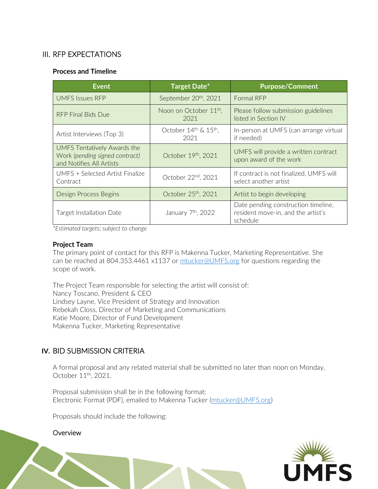# III. RFP EXPECTATIONS

#### **Process and Timeline**

| <b>Event</b>                                                                              | <b>Target Date*</b>                        | <b>Purpose/Comment</b>                                                                |
|-------------------------------------------------------------------------------------------|--------------------------------------------|---------------------------------------------------------------------------------------|
| UMFS Issues RFP                                                                           | September 20 <sup>th</sup> , 2021          | Formal RFP                                                                            |
| RFP Final Bids Due                                                                        | Noon on October 11 <sup>th</sup> ,<br>2021 | Please follow submission guidelines<br>listed in Section IV                           |
| Artist Interviews (Top 3)                                                                 | October 14th & 15th,<br>2021               | In-person at UMFS (can arrange virtual<br>if needed)                                  |
| UMFS Tentatively Awards the<br>Work (pending signed contract)<br>and Notifies All Artists | October 19th, 2021                         | UMFS will provide a written contract<br>upon award of the work                        |
| UMFS + Selected Artist Finalize<br>Contract                                               | October 22nd, 2021                         | If contract is not finalized, UMFS will<br>select another artist                      |
| Design Process Begins                                                                     | October 25 <sup>th</sup> , 2021            | Artist to begin developing                                                            |
| <b>Target Installation Date</b>                                                           | January 7 <sup>th</sup> , 2022             | Date pending construction timeline,<br>resident move-in, and the artist's<br>schedule |

*\*Estimated targets; subject to change*

#### **Project Team**

The primary point of contact for this RFP is Makenna Tucker, Marketing Representative. She can be reached at 804.353.4461 x1137 or [mtucker@UMFS.org](mailto:mtucker@UMFS.org) for questions regarding the scope of work.

The Project Team responsible for selecting the artist will consist of: Nancy Toscano, President & CEO Lindsey Layne, Vice President of Strategy and Innovation Rebekah Closs, Director of Marketing and Communications Katie Moore, Director of Fund Development Makenna Tucker, Marketing Representative

# **IV.** BID SUBMISSION CRITERIA

A formal proposal and any related material shall be submitted no later than noon on Monday, October 11<sup>th</sup>, 2021.

Proposal submission shall be in the following format: Electronic Format (PDF), emailed to Makenna Tucker [\(mtucker@UMFS.org\)](mailto:mtucker@UMFS.org)

Proposals should include the following:

**Overview**